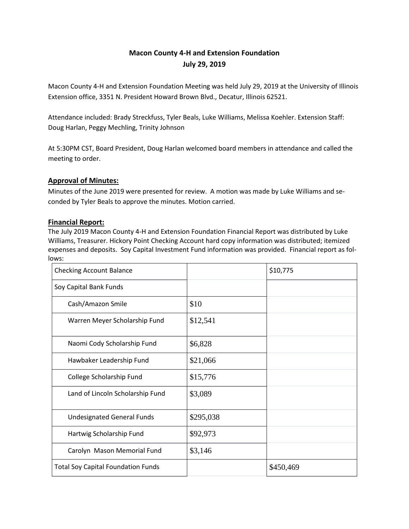# **Macon County 4-H and Extension Foundation July 29, 2019**

Macon County 4-H and Extension Foundation Meeting was held July 29, 2019 at the University of Illinois Extension office, 3351 N. President Howard Brown Blvd., Decatur, Illinois 62521.

Attendance included: Brady Streckfuss, Tyler Beals, Luke Williams, Melissa Koehler. Extension Staff: Doug Harlan, Peggy Mechling, Trinity Johnson

At 5:30PM CST, Board President, Doug Harlan welcomed board members in attendance and called the meeting to order.

## **Approval of Minutes:**

Minutes of the June 2019 were presented for review. A motion was made by Luke Williams and seconded by Tyler Beals to approve the minutes. Motion carried.

## **Financial Report:**

The July 2019 Macon County 4-H and Extension Foundation Financial Report was distributed by Luke Williams, Treasurer. Hickory Point Checking Account hard copy information was distributed; itemized expenses and deposits. Soy Capital Investment Fund information was provided. Financial report as follows:

| <b>Checking Account Balance</b>           |           | \$10,775  |
|-------------------------------------------|-----------|-----------|
| Soy Capital Bank Funds                    |           |           |
| Cash/Amazon Smile                         | \$10      |           |
| Warren Meyer Scholarship Fund             | \$12,541  |           |
| Naomi Cody Scholarship Fund               | \$6,828   |           |
| Hawbaker Leadership Fund                  | \$21,066  |           |
| College Scholarship Fund                  | \$15,776  |           |
| Land of Lincoln Scholarship Fund          | \$3,089   |           |
| <b>Undesignated General Funds</b>         | \$295,038 |           |
| Hartwig Scholarship Fund                  | \$92,973  |           |
| Carolyn Mason Memorial Fund               | \$3,146   |           |
| <b>Total Soy Capital Foundation Funds</b> |           | \$450,469 |